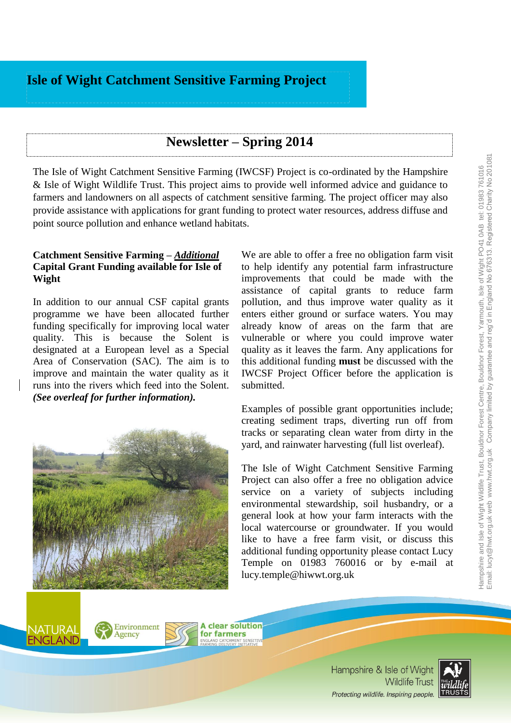# **Isle of Wight Catchment Sensitive Farming Project**

# **Newsletter – Spring 2014**

The Isle of Wight Catchment Sensitive Farming (IWCSF) Project is co-ordinated by the [Hampshire](http://www.hwt.org.uk/)  [& Isle of Wight Wildlife Trust.](http://www.hwt.org.uk/) This project aims to provide well informed advice and guidance to farmers and landowners on all aspects of catchment sensitive farming. The project officer may also provide assistance with applications for grant funding to protect water resources, address diffuse and point source pollution and enhance wetland habitats.

#### **Catchment Sensitive Farming –** *Additional* **Capital Grant Funding available for Isle of Wight**

In addition to our annual CSF capital grants programme we have been allocated further funding specifically for improving local water quality. This is because the Solent is designated at a European level as a Special Area of Conservation (SAC). The aim is to improve and maintain the water quality as it runs into the rivers which feed into the Solent. *(See overleaf for further information).*



Environment Agency

We are able to offer a free no obligation farm visit to help identify any potential farm infrastructure improvements that could be made with the assistance of capital grants to reduce farm pollution, and thus improve water quality as it enters either ground or surface waters. You may already know of areas on the farm that are vulnerable or where you could improve water quality as it leaves the farm. Any applications for this additional funding **must** be discussed with the IWCSF Project Officer before the application is submitted.

Examples of possible grant opportunities include; creating sediment traps, diverting run off from tracks or separating clean water from dirty in the yard, and rainwater harvesting (full list overleaf).

The Isle of Wight Catchment Sensitive Farming Project can also offer a free no obligation advice service on a variety of subjects including environmental stewardship, soil husbandry, or a general look at how your farm interacts with the local watercourse or groundwater. If you would like to have a free farm visit, or discuss this additional funding opportunity please contact Lucy Temple on 01983 760016 or by e-mail at lucy.temple@hiwwt.org.uk

**A clear solution** for farmers



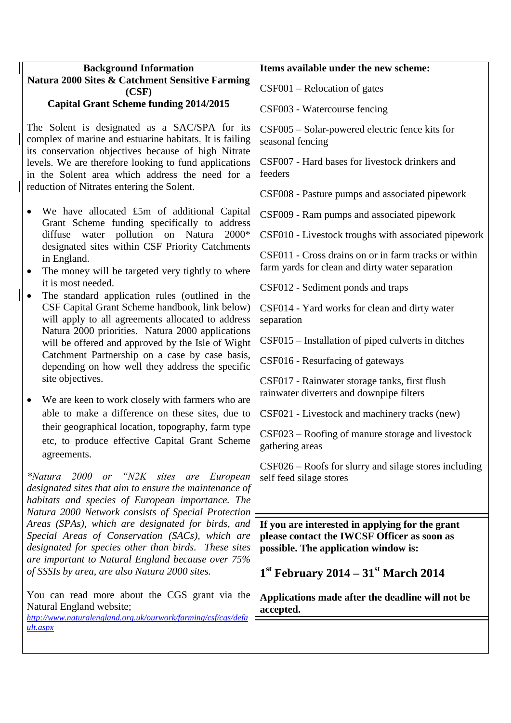## **Background Information Natura 2000 Sites & Catchment Sensitive Farming (CSF)**

## **Capital Grant Scheme funding 2014/2015**

The Solent is designated as a SAC/SPA for its complex of marine and estuarine habitats. It is failing its conservation objectives because of high Nitrate levels. We are therefore looking to fund applications in the Solent area which address the need for a reduction of Nitrates entering the Solent.

- We have allocated £5m of additional Capital Grant Scheme funding specifically to address diffuse water pollution on Natura 2000\* designated sites within CSF Priority Catchments in England.
- The money will be targeted very tightly to where it is most needed.
- The standard application rules (outlined in the CSF Capital Grant Scheme handbook, link below) will apply to all agreements allocated to address Natura 2000 priorities. Natura 2000 applications will be offered and approved by the Isle of Wight Catchment Partnership on a case by case basis, depending on how well they address the specific site objectives.

 We are keen to work closely with farmers who are able to make a difference on these sites, due to their geographical location, topography, farm type etc, to produce effective Capital Grant Scheme agreements.

*\*Natura 2000 or "N2K sites are European designated sites that aim to ensure the maintenance of habitats and species of European importance. The Natura 2000 Network consists of Special Protection Areas (SPAs), which are designated for birds, and Special Areas of Conservation (SACs), which are designated for species other than birds. These sites are important to Natural England because over 75% of SSSIs by area, are also Natura 2000 sites.*

You can read more about the CGS grant via the Natural England website;

*[http://www.naturalengland.org.uk/ourwork/farming/csf/cgs/defa](http://www.naturalengland.org.uk/ourwork/farming/csf/cgs/default.aspx) [ult.aspx](http://www.naturalengland.org.uk/ourwork/farming/csf/cgs/default.aspx)*

#### **Items available under the new scheme:**

CSF001 – Relocation of gates

CSF003 - Watercourse fencing

CSF005 – Solar-powered electric fence kits for seasonal fencing

CSF007 - Hard bases for livestock drinkers and feeders

CSF008 - Pasture pumps and associated pipework

CSF009 - Ram pumps and associated pipework

CSF010 - Livestock troughs with associated pipework

CSF011 - Cross drains on or in farm tracks or within farm yards for clean and dirty water separation

CSF012 - Sediment ponds and traps

CSF014 - Yard works for clean and dirty water separation

CSF015 – Installation of piped culverts in ditches

CSF016 - Resurfacing of gateways

CSF017 - Rainwater storage tanks, first flush rainwater diverters and downpipe filters

CSF021 - Livestock and machinery tracks (new)

CSF023 – Roofing of manure storage and livestock gathering areas

CSF026 – Roofs for slurry and silage stores including self feed silage stores

**If you are interested in applying for the grant please contact the IWCSF Officer as soon as possible. The application window is:**

**1 st February 2014 – 31st March 2014** 

**Applications made after the deadline will not be accepted.**